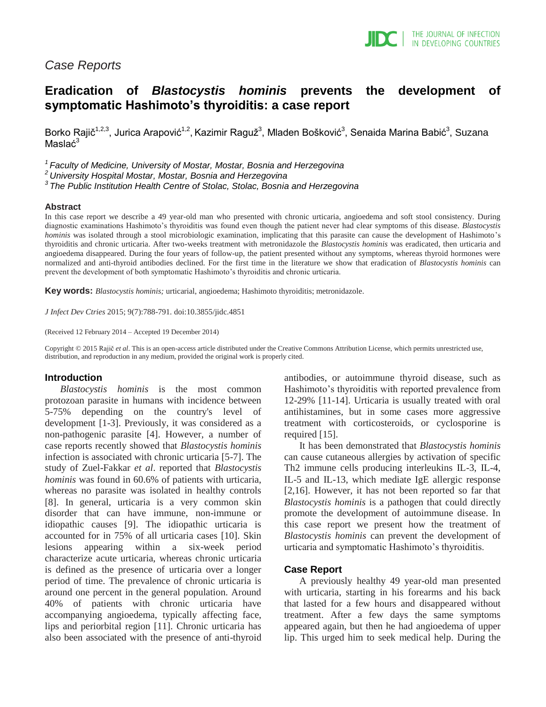

## *Case Reports*

# **Eradication of** *Blastocystis hominis* **prevents the development of symptomatic Hashimoto's thyroiditis: a case report**

Borko Rajič<sup>1,2,3</sup>, Jurica Arapović<sup>1,2</sup>, Kazimir Raguž<sup>3</sup>, Mladen Bošković<sup>3</sup>, Senaida Marina Babić<sup>3</sup>, Suzana Maslać<sup>3</sup>

*<sup>1</sup>Faculty of Medicine, University of Mostar, Mostar, Bosnia and Herzegovina*

*<sup>2</sup>University Hospital Mostar, Mostar, Bosnia and Herzegovina*

*<sup>3</sup>The Public Institution Health Centre of Stolac, Stolac, Bosnia and Herzegovina*

#### **Abstract**

In this case report we describe a 49 year-old man who presented with chronic urticaria, angioedema and soft stool consistency. During diagnostic examinations Hashimoto's thyroiditis was found even though the patient never had clear symptoms of this disease. *Blastocystis hominis* was isolated through a stool microbiologic examination, implicating that this parasite can cause the development of Hashimoto's thyroiditis and chronic urticaria. After two-weeks treatment with metronidazole the *Blastocystis hominis* was eradicated, then urticaria and angioedema disappeared. During the four years of follow-up, the patient presented without any symptoms, whereas thyroid hormones were normalized and anti-thyroid antibodies declined. For the first time in the literature we show that eradication of *Blastocystis hominis* can prevent the development of both symptomatic Hashimoto's thyroiditis and chronic urticaria.

**Key words:** *Blastocystis hominis;* urticarial, angioedema; Hashimoto thyroiditis; metronidazole.

*J Infect Dev Ctries* 2015; 9(7):788-791*.* doi:10.3855/jidc.4851

(Received 12 February 2014 – Accepted 19 December 2014)

Copyright © 2015 Rajič *et al*. This is an open-access article distributed under the Creative Commons Attribution License, which permits unrestricted use, distribution, and reproduction in any medium, provided the original work is properly cited.

#### **Introduction**

*Blastocystis hominis* is the most common protozoan parasite in humans with incidence between 5-75% depending on the country's level of development [1-3]. Previously, it was considered as a non-pathogenic parasite [4]. However, a number of case reports recently showed that *Blastocystis hominis*  infection is associated with chronic urticaria [5-7]. The study of Zuel-Fakkar *et al*. reported that *Blastocystis hominis* was found in 60.6% of patients with urticaria, whereas no parasite was isolated in healthy controls [8]. In general, urticaria is a very common skin disorder that can have immune, non-immune or idiopathic causes [9]. The idiopathic urticaria is accounted for in 75% of all urticaria cases [10]. Skin lesions appearing within a six-week period characterize acute urticaria, whereas chronic urticaria is defined as the presence of urticaria over a longer period of time. The prevalence of chronic urticaria is around one percent in the general population. Around 40% of patients with chronic urticaria have accompanying angioedema, typically affecting face, lips and periorbital region [11]. Chronic urticaria has also been associated with the presence of anti-thyroid

antibodies, or autoimmune thyroid disease, such as Hashimoto's thyroiditis with reported prevalence from 12-29% [11-14]. Urticaria is usually treated with oral antihistamines, but in some cases more aggressive treatment with corticosteroids, or cyclosporine is required [15].

It has been demonstrated that *Blastocystis hominis* can cause cutaneous allergies by activation of specific Th2 immune cells producing interleukins IL-3, IL-4, IL-5 and IL-13, which mediate IgE allergic response [2,16]. However, it has not been reported so far that *Blastocystis hominis* is a pathogen that could directly promote the development of autoimmune disease. In this case report we present how the treatment of *Blastocystis hominis* can prevent the development of urticaria and symptomatic Hashimoto's thyroiditis.

#### **Case Report**

A previously healthy 49 year-old man presented with urticaria, starting in his forearms and his back that lasted for a few hours and disappeared without treatment. After a few days the same symptoms appeared again, but then he had angioedema of upper lip. This urged him to seek medical help. During the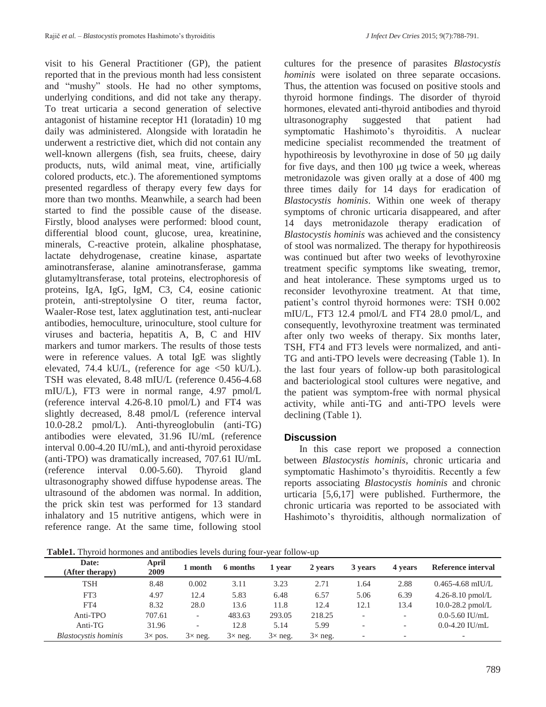visit to his General Practitioner (GP), the patient reported that in the previous month had less consistent and "mushy" stools. He had no other symptoms, underlying conditions, and did not take any therapy. To treat urticaria a second generation of selective antagonist of histamine receptor H1 (loratadin) 10 mg daily was administered. Alongside with loratadin he underwent a restrictive diet, which did not contain any well-known allergens (fish, sea fruits, cheese, dairy products, nuts, wild animal meat, vine, artificially colored products, etc.). The aforementioned symptoms presented regardless of therapy every few days for more than two months. Meanwhile, a search had been started to find the possible cause of the disease. Firstly, blood analyses were performed: blood count, differential blood count, glucose, urea, kreatinine, minerals, C-reactive protein, alkaline phosphatase, lactate dehydrogenase, creatine kinase, aspartate aminotransferase, alanine aminotransferase, gamma glutamyltransferase, total proteins, electrophoresis of proteins, IgA, IgG, IgM, C3, C4, eosine cationic protein, anti-streptolysine O titer, reuma factor, Waaler-Rose test, latex agglutination test, anti-nuclear antibodies, hemoculture, urinoculture, stool culture for viruses and bacteria, hepatitis A, B, C and HIV markers and tumor markers. The results of those tests were in reference values. A total IgE was slightly elevated, 74.4 kU/L, (reference for age <50 kU/L). TSH was elevated, 8.48 mIU/L (reference 0.456-4.68 mIU/L), FT3 were in normal range, 4.97 pmol/L (reference interval 4.26-8.10 pmol/L) and FT4 was slightly decreased, 8.48 pmol/L (reference interval 10.0-28.2 pmol/L). Anti-thyreoglobulin (anti-TG) antibodies were elevated, 31.96 IU/mL (reference interval 0.00-4.20 IU/mL), and anti-thyroid peroxidase (anti-TPO) was dramatically increased, 707.61 IU/mL (reference interval 0.00-5.60). Thyroid gland ultrasonography showed diffuse hypodense areas. The ultrasound of the abdomen was normal. In addition, the prick skin test was performed for 13 standard inhalatory and 15 nutritive antigens, which were in reference range. At the same time, following stool

cultures for the presence of parasites *Blastocystis hominis* were isolated on three separate occasions. Thus, the attention was focused on positive stools and thyroid hormone findings. The disorder of thyroid hormones, elevated anti-thyroid antibodies and thyroid ultrasonography suggested that patient had symptomatic Hashimoto's thyroiditis. A nuclear medicine specialist recommended the treatment of hypothireosis by levothyroxine in dose of  $50 \mu$ g daily for five days, and then  $100 \mu$ g twice a week, whereas metronidazole was given orally at a dose of 400 mg three times daily for 14 days for eradication of *Blastocystis hominis*. Within one week of therapy symptoms of chronic urticaria disappeared, and after 14 days metronidazole therapy eradication of *Blastocystis hominis* was achieved and the consistency of stool was normalized. The therapy for hypothireosis was continued but after two weeks of levothyroxine treatment specific symptoms like sweating, tremor, and heat intolerance. These symptoms urged us to reconsider levothyroxine treatment. At that time, patient's control thyroid hormones were: TSH 0.002 mIU/L, FT3 12.4 pmol/L and FT4 28.0 pmol/L, and consequently, levothyroxine treatment was terminated after only two weeks of therapy. Six months later, TSH, FT4 and FT3 levels were normalized, and anti-TG and anti-TPO levels were decreasing (Table 1). In the last four years of follow-up both parasitological and bacteriological stool cultures were negative, and the patient was symptom-free with normal physical activity, while anti-TG and anti-TPO levels were declining (Table 1).

### **Discussion**

In this case report we proposed a connection between *Blastocystis hominis*, chronic urticaria and symptomatic Hashimoto's thyroiditis. Recently a few reports associating *Blastocystis hominis* and chronic urticaria [5,6,17] were published. Furthermore, the chronic urticaria was reported to be associated with Hashimoto's thyroiditis, although normalization of

**Table1.** Thyroid hormones and antibodies levels during four-year follow-up

| Date:<br>(After therapy)    | April<br>2009  | 1 month        | 6 months       | 1 year         | 2 years        | 3 years                  | 4 years                  | Reference interval       |
|-----------------------------|----------------|----------------|----------------|----------------|----------------|--------------------------|--------------------------|--------------------------|
| TSH                         | 8.48           | 0.002          | 3.11           | 3.23           | 2.71           | 1.64                     | 2.88                     | $0.465 - 4.68$ mIU/L     |
| FT3                         | 4.97           | 12.4           | 5.83           | 6.48           | 6.57           | 5.06                     | 6.39                     | 4.26-8.10 $pmol/L$       |
| FT4                         | 8.32           | 28.0           | 13.6           | 11.8           | 12.4           | 12.1                     | 13.4                     | $10.0 - 28.2$ pmol/L     |
| Anti-TPO                    | 707.61         |                | 483.63         | 293.05         | 218.25         | $\overline{\phantom{a}}$ | $\overline{\phantom{0}}$ | $0.0 - 5.60$ IU/mL       |
| Anti-TG                     | 31.96          |                | 12.8           | 5.14           | 5.99           | $\overline{\phantom{a}}$ | -                        | $0.0-4.20$ IU/mL         |
| <b>Blastocystis</b> hominis | $3\times$ pos. | $3\times$ neg. | $3\times$ neg. | $3\times$ neg. | $3\times$ neg. | $\overline{\phantom{a}}$ | $\overline{\phantom{0}}$ | $\overline{\phantom{0}}$ |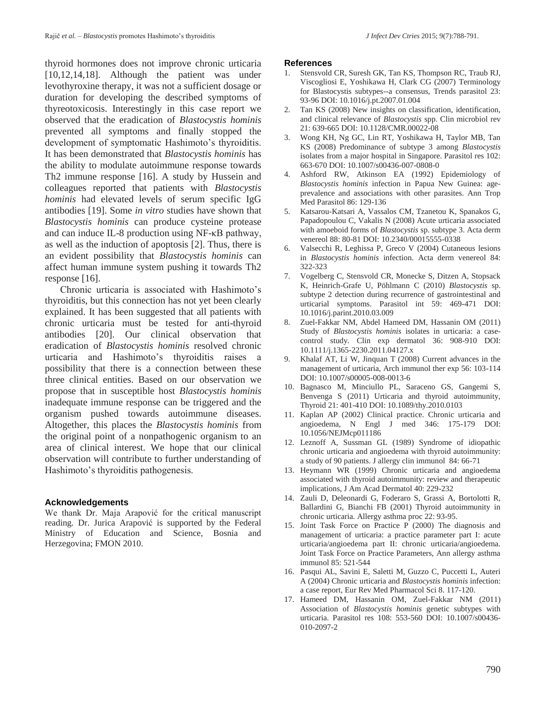thyroid hormones does not improve chronic urticaria [10,12,14,18]. Although the patient was under levothyroxine therapy, it was not a sufficient dosage or duration for developing the described symptoms of thyreotoxicosis. Interestingly in this case report we observed that the eradication of *Blastocystis hominis*  prevented all symptoms and finally stopped the development of symptomatic Hashimoto's thyroiditis. It has been demonstrated that *Blastocystis hominis* has the ability to modulate autoimmune response towards Th2 immune response [16]. A study by Hussein and colleagues reported that patients with *Blastocystis hominis* had elevated levels of serum specific IgG antibodies [19]. Some *in vitro* studies have shown that *Blastocystis hominis* can produce cysteine protease and can induce IL-8 production using NF-κB pathway, as well as the induction of apoptosis [2]. Thus, there is an evident possibility that *Blastocystis hominis* can affect human immune system pushing it towards Th2 response [16].

Chronic urticaria is associated with Hashimoto's thyroiditis, but this connection has not yet been clearly explained. It has been suggested that all patients with chronic urticaria must be tested for anti-thyroid antibodies [20]. Our clinical observation that eradication of *Blastocystis hominis* resolved chronic urticaria and Hashimoto's thyroiditis raises a possibility that there is a connection between these three clinical entities. Based on our observation we propose that in susceptible host *Blastocystis hominis*  inadequate immune response can be triggered and the organism pushed towards autoimmune diseases. Altogether, this places the *Blastocystis hominis* from the original point of a nonpathogenic organism to an area of clinical interest. We hope that our clinical observation will contribute to further understanding of Hashimoto's thyroiditis pathogenesis.

#### **Acknowledgements**

We thank Dr. Maja Arapović for the critical manuscript reading. Dr. Jurica Arapović is supported by the Federal Ministry of Education and Science, Bosnia and Herzegovina; FMON 2010.

#### **References**

- Stensvold CR, Suresh GK, Tan KS, Thompson RC, Traub RJ, Viscogliosi E, Yoshikawa H, Clark CG (2007) Terminology for Blastocystis subtypes--a consensus, Trends parasitol 23: 93-96 DOI: 10.1016/j.pt.2007.01.004
- 2. Tan KS (2008) New insights on classification, identification, and clinical relevance of *Blastocystis* spp. Clin microbiol rev 21: 639-665 DOI: 10.1128/CMR.00022-08
- 3. Wong KH, Ng GC, Lin RT, Yoshikawa H, Taylor MB, Tan KS (2008) Predominance of subtype 3 among *Blastocystis* isolates from a major hospital in Singapore. Parasitol res 102: 663-670 DOI: 10.1007/s00436-007-0808-0
- 4. Ashford RW, Atkinson EA (1992) Epidemiology of *Blastocystis hominis* infection in Papua New Guinea: ageprevalence and associations with other parasites. Ann Trop Med Parasitol 86: 129-136
- 5. Katsarou-Katsari A, Vassalos CM, Tzanetou K, Spanakos G, Papadopoulou C, Vakalis N (2008) Acute urticaria associated with amoeboid forms of *Blastocystis* sp. subtype 3. Acta derm venereol 88: 80-81 DOI: 10.2340/00015555-0338
- 6. Valsecchi R, Leghissa P, Greco V (2004) Cutaneous lesions in *Blastocystis hominis* infection. Acta derm venereol 84: 322-323
- 7. Vogelberg C, Stensvold CR, Monecke S, Ditzen A, Stopsack K, Heinrich-Grafe U, Pöhlmann C (2010) *Blastocystis* sp. subtype 2 detection during recurrence of gastrointestinal and urticarial symptoms. Parasitol int 59: 469-471 DOI: 10.1016/j.parint.2010.03.009
- 8. Zuel-Fakkar NM, Abdel Hameed DM, Hassanin OM (2011) Study of *Blastocystis hominis* isolates in urticaria: a casecontrol study. Clin exp dermatol 36: 908-910 DOI: 10.1111/j.1365-2230.2011.04127.x
- 9. Khalaf AT, Li W, Jinquan T (2008) Current advances in the management of urticaria, Arch immunol ther exp 56: 103-114 DOI: 10.1007/s00005-008-0013-6
- 10. Bagnasco M, Minciullo PL, Saraceno GS, Gangemi S, Benvenga S (2011) Urticaria and thyroid autoimmunity, Thyroid 21: 401-410 DOI: 10.1089/thy.2010.0103
- 11. Kaplan AP (2002) Clinical practice. Chronic urticaria and angioedema, N Engl J med 346: 175-179 DOI: 10.1056/NEJMcp011186
- 12. Leznoff A, Sussman GL (1989) Syndrome of idiopathic chronic urticaria and angioedema with thyroid autoimmunity: a study of 90 patients. J allergy clin immunol 84: 66-71
- 13. Heymann WR (1999) Chronic urticaria and angioedema associated with thyroid autoimmunity: review and therapeutic implications, J Am Acad Dermatol 40: 229-232
- 14. Zauli D, Deleonardi G, Foderaro S, Grassi A, Bortolotti R, Ballardini G, Bianchi FB (2001) Thyroid autoimmunity in chronic urticaria. Allergy asthma proc 22: 93-95.
- 15. Joint Task Force on Practice P (2000) The diagnosis and management of urticaria: a practice parameter part I: acute urticaria/angioedema part II: chronic urticaria/angioedema. Joint Task Force on Practice Parameters, Ann allergy asthma immunol 85: 521-544
- 16. Pasqui AL, Savini E, Saletti M, Guzzo C, Puccetti L, Auteri A (2004) Chronic urticaria and *Blastocystis hominis* infection: a case report, Eur Rev Med Pharmacol Sci 8. 117-120.
- 17. Hameed DM, Hassanin OM, Zuel-Fakkar NM (2011) Association of *Blastocystis hominis* genetic subtypes with urticaria. Parasitol res 108: 553-560 DOI: 10.1007/s00436- 010-2097-2